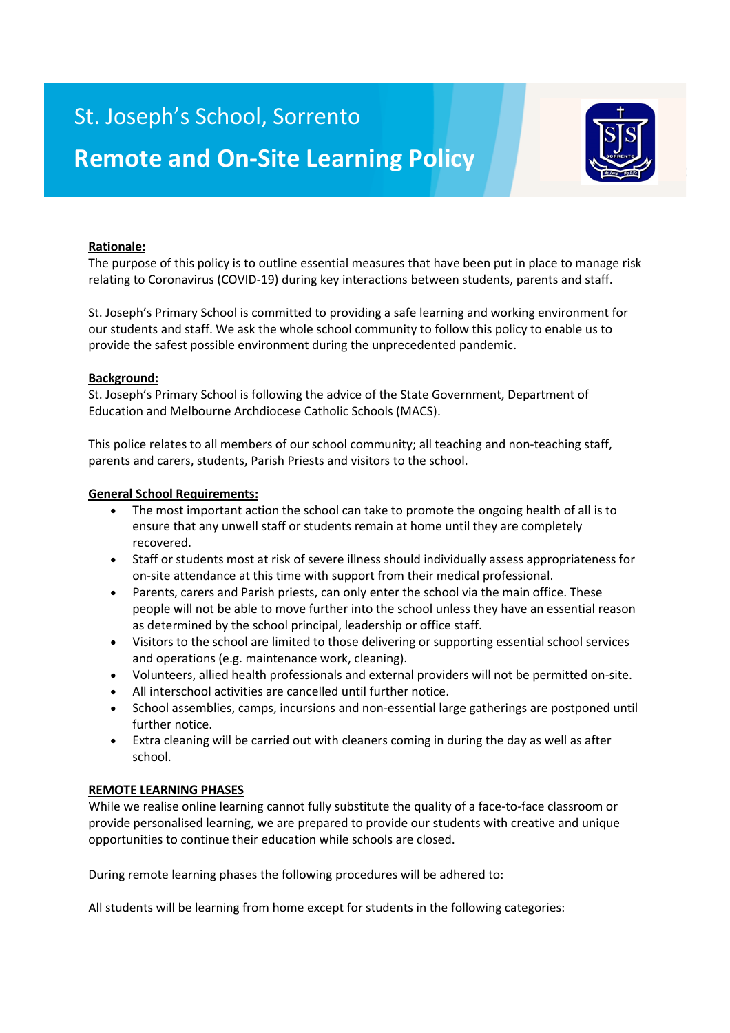## St. Joseph's School, Sorrento



# **Remote and On-Site Learning Policy**

## **Rationale:**

The purpose of this policy is to outline essential measures that have been put in place to manage risk relating to Coronavirus (COVID-19) during key interactions between students, parents and staff.

St. Joseph's Primary School is committed to providing a safe learning and working environment for our students and staff. We ask the whole school community to follow this policy to enable us to provide the safest possible environment during the unprecedented pandemic.

#### **Background:**

St. Joseph's Primary School is following the advice of the State Government, Department of Education and Melbourne Archdiocese Catholic Schools (MACS).

This police relates to all members of our school community; all teaching and non-teaching staff, parents and carers, students, Parish Priests and visitors to the school.

#### **General School Requirements:**

- The most important action the school can take to promote the ongoing health of all is to ensure that any unwell staff or students remain at home until they are completely recovered.
- Staff or students most at risk of severe illness should individually assess appropriateness for on-site attendance at this time with support from their medical professional.
- Parents, carers and Parish priests, can only enter the school via the main office. These people will not be able to move further into the school unless they have an essential reason as determined by the school principal, leadership or office staff.
- Visitors to the school are limited to those delivering or supporting essential school services and operations (e.g. maintenance work, cleaning).
- Volunteers, allied health professionals and external providers will not be permitted on-site.
- All interschool activities are cancelled until further notice.
- School assemblies, camps, incursions and non-essential large gatherings are postponed until further notice.
- Extra cleaning will be carried out with cleaners coming in during the day as well as after school.

#### **REMOTE LEARNING PHASES**

While we realise online learning cannot fully substitute the quality of a face-to-face classroom or provide personalised learning, we are prepared to provide our students with creative and unique opportunities to continue their education while schools are closed.

During remote learning phases the following procedures will be adhered to:

All students will be learning from home except for students in the following categories: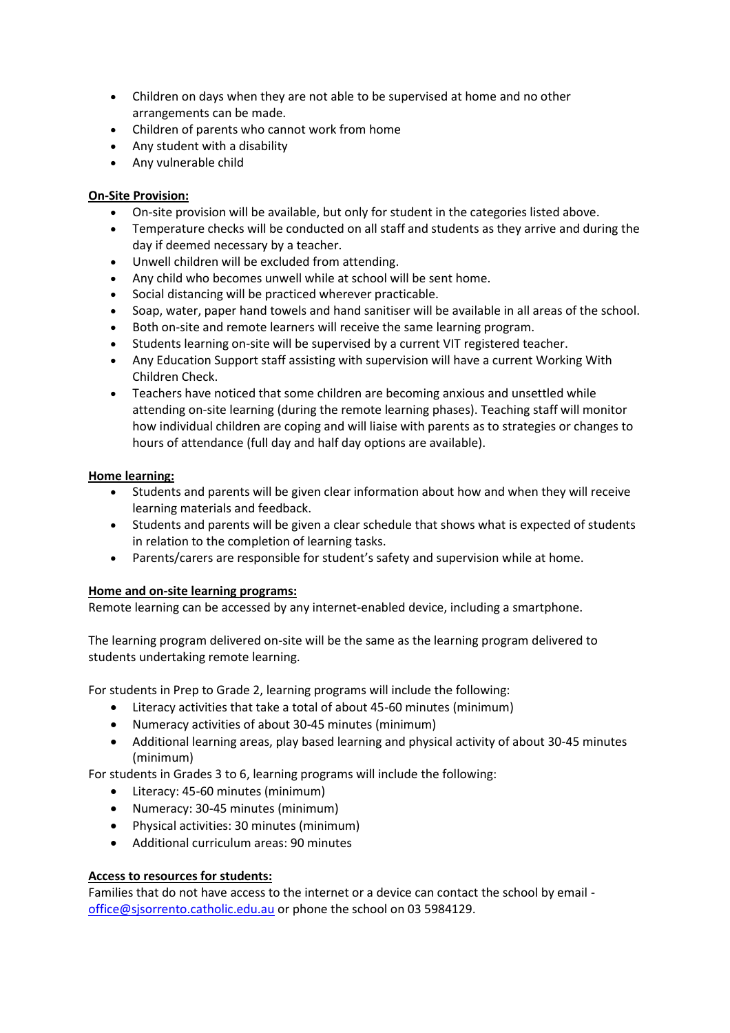- Children on days when they are not able to be supervised at home and no other arrangements can be made.
- Children of parents who cannot work from home
- Any student with a disability
- Any vulnerable child

## **On-Site Provision:**

- On-site provision will be available, but only for student in the categories listed above.
- Temperature checks will be conducted on all staff and students as they arrive and during the day if deemed necessary by a teacher.
- Unwell children will be excluded from attending.
- Any child who becomes unwell while at school will be sent home.
- Social distancing will be practiced wherever practicable.
- Soap, water, paper hand towels and hand sanitiser will be available in all areas of the school.
- Both on-site and remote learners will receive the same learning program.
- Students learning on-site will be supervised by a current VIT registered teacher.
- Any Education Support staff assisting with supervision will have a current Working With Children Check.
- Teachers have noticed that some children are becoming anxious and unsettled while attending on-site learning (during the remote learning phases). Teaching staff will monitor how individual children are coping and will liaise with parents as to strategies or changes to hours of attendance (full day and half day options are available).

#### **Home learning:**

- Students and parents will be given clear information about how and when they will receive learning materials and feedback.
- Students and parents will be given a clear schedule that shows what is expected of students in relation to the completion of learning tasks.
- Parents/carers are responsible for student's safety and supervision while at home.

#### **Home and on-site learning programs:**

Remote learning can be accessed by any internet-enabled device, including a smartphone.

The learning program delivered on-site will be the same as the learning program delivered to students undertaking remote learning.

For students in Prep to Grade 2, learning programs will include the following:

- Literacy activities that take a total of about 45-60 minutes (minimum)
- Numeracy activities of about 30-45 minutes (minimum)
- Additional learning areas, play based learning and physical activity of about 30-45 minutes (minimum)

For students in Grades 3 to 6, learning programs will include the following:

- Literacy: 45-60 minutes (minimum)
- Numeracy: 30-45 minutes (minimum)
- Physical activities: 30 minutes (minimum)
- Additional curriculum areas: 90 minutes

#### **Access to resources for students:**

Families that do not have access to the internet or a device can contact the school by email [office@sjsorrento.catholic.edu.au](mailto:office@sjsorrento.catholic.edu.au) or phone the school on 03 5984129.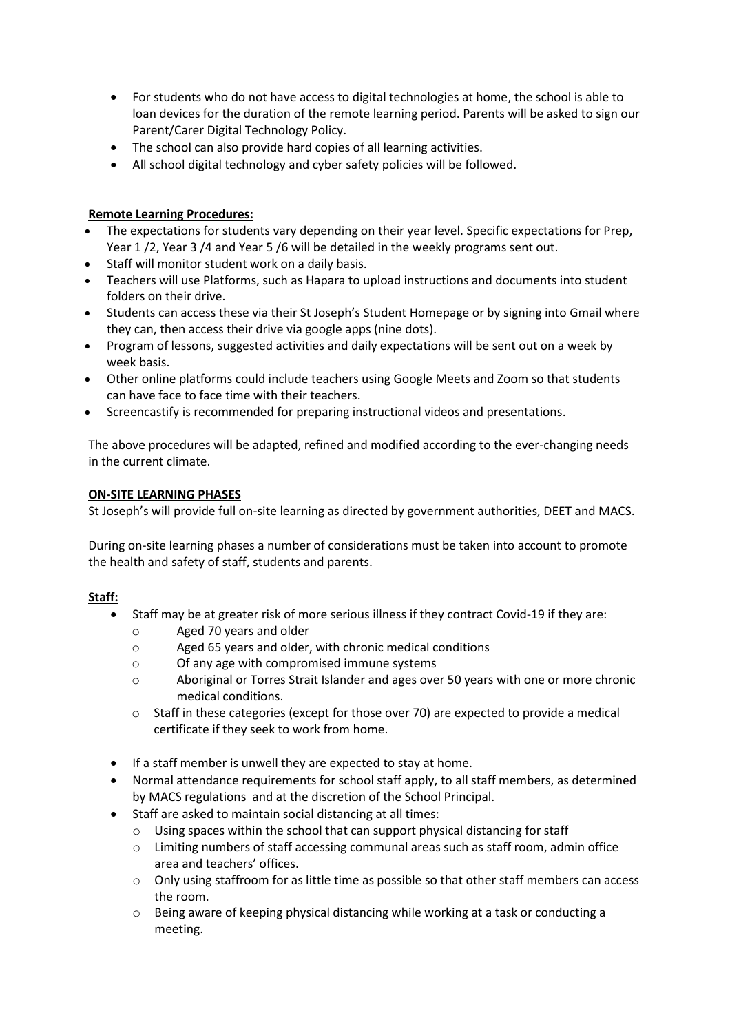- For students who do not have access to digital technologies at home, the school is able to loan devices for the duration of the remote learning period. Parents will be asked to sign our Parent/Carer Digital Technology Policy.
- The school can also provide hard copies of all learning activities.
- All school digital technology and cyber safety policies will be followed.

## **Remote Learning Procedures:**

- The expectations for students vary depending on their year level. Specific expectations for Prep, Year 1 /2, Year 3 /4 and Year 5 /6 will be detailed in the weekly programs sent out.
- Staff will monitor student work on a daily basis.
- Teachers will use Platforms, such as Hapara to upload instructions and documents into student folders on their drive.
- Students can access these via their St Joseph's Student Homepage or by signing into Gmail where they can, then access their drive via google apps (nine dots).
- Program of lessons, suggested activities and daily expectations will be sent out on a week by week basis.
- Other online platforms could include teachers using Google Meets and Zoom so that students can have face to face time with their teachers.
- Screencastify is recommended for preparing instructional videos and presentations.

The above procedures will be adapted, refined and modified according to the ever-changing needs in the current climate.

#### **ON-SITE LEARNING PHASES**

St Joseph's will provide full on-site learning as directed by government authorities, DEET and MACS.

During on-site learning phases a number of considerations must be taken into account to promote the health and safety of staff, students and parents.

#### **Staff:**

- Staff may be at greater risk of more serious illness if they contract Covid-19 if they are:
	- o Aged 70 years and older
	- o Aged 65 years and older, with chronic medical conditions
	- o Of any age with compromised immune systems
	- o Aboriginal or Torres Strait Islander and ages over 50 years with one or more chronic medical conditions.
	- $\circ$  Staff in these categories (except for those over 70) are expected to provide a medical certificate if they seek to work from home.
- If a staff member is unwell they are expected to stay at home.
- Normal attendance requirements for school staff apply, to all staff members, as determined by MACS regulations and at the discretion of the School Principal.
- Staff are asked to maintain social distancing at all times:
	- o Using spaces within the school that can support physical distancing for staff
	- o Limiting numbers of staff accessing communal areas such as staff room, admin office area and teachers' offices.
	- $\circ$  Only using staffroom for as little time as possible so that other staff members can access the room.
	- o Being aware of keeping physical distancing while working at a task or conducting a meeting.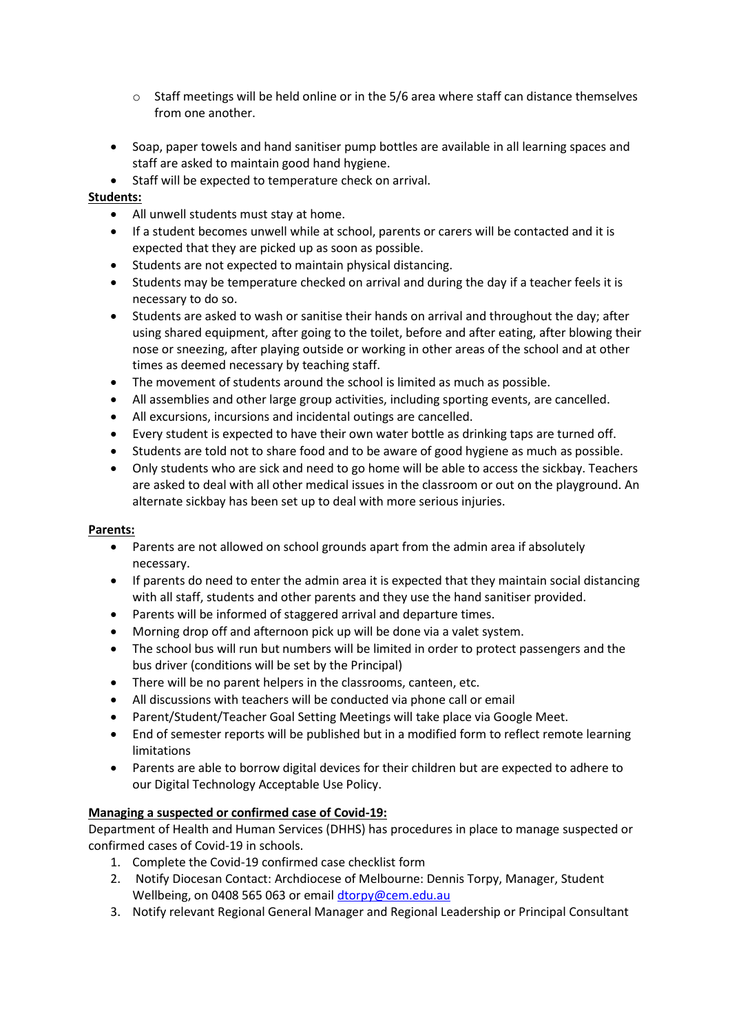- o Staff meetings will be held online or in the 5/6 area where staff can distance themselves from one another.
- Soap, paper towels and hand sanitiser pump bottles are available in all learning spaces and staff are asked to maintain good hand hygiene.
- Staff will be expected to temperature check on arrival.

## **Students:**

- All unwell students must stay at home.
- If a student becomes unwell while at school, parents or carers will be contacted and it is expected that they are picked up as soon as possible.
- Students are not expected to maintain physical distancing.
- Students may be temperature checked on arrival and during the day if a teacher feels it is necessary to do so.
- Students are asked to wash or sanitise their hands on arrival and throughout the day; after using shared equipment, after going to the toilet, before and after eating, after blowing their nose or sneezing, after playing outside or working in other areas of the school and at other times as deemed necessary by teaching staff.
- The movement of students around the school is limited as much as possible.
- All assemblies and other large group activities, including sporting events, are cancelled.
- All excursions, incursions and incidental outings are cancelled.
- Every student is expected to have their own water bottle as drinking taps are turned off.
- Students are told not to share food and to be aware of good hygiene as much as possible.
- Only students who are sick and need to go home will be able to access the sickbay. Teachers are asked to deal with all other medical issues in the classroom or out on the playground. An alternate sickbay has been set up to deal with more serious injuries.

## **Parents:**

- Parents are not allowed on school grounds apart from the admin area if absolutely necessary.
- If parents do need to enter the admin area it is expected that they maintain social distancing with all staff, students and other parents and they use the hand sanitiser provided.
- Parents will be informed of staggered arrival and departure times.
- Morning drop off and afternoon pick up will be done via a valet system.
- The school bus will run but numbers will be limited in order to protect passengers and the bus driver (conditions will be set by the Principal)
- There will be no parent helpers in the classrooms, canteen, etc.
- All discussions with teachers will be conducted via phone call or email
- Parent/Student/Teacher Goal Setting Meetings will take place via Google Meet.
- End of semester reports will be published but in a modified form to reflect remote learning limitations
- Parents are able to borrow digital devices for their children but are expected to adhere to our Digital Technology Acceptable Use Policy.

## **Managing a suspected or confirmed case of Covid-19:**

Department of Health and Human Services (DHHS) has procedures in place to manage suspected or confirmed cases of Covid-19 in schools.

- 1. Complete the Covid-19 confirmed case checklist form
- 2. Notify Diocesan Contact: Archdiocese of Melbourne: Dennis Torpy, Manager, Student Wellbeing, on 0408 565 063 or emai[l dtorpy@cem.edu.au](mailto:dtorpy@cem.edu.au)
- 3. Notify relevant Regional General Manager and Regional Leadership or Principal Consultant